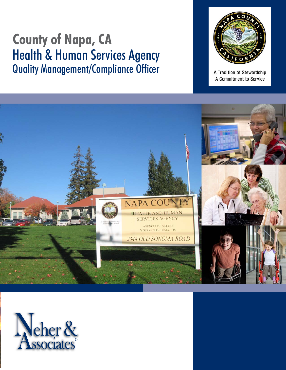# **County of Napa, CA** Quality Management/Compliance Officer Quality Management/Compliance Officer



A Tradition of Stewardship A Commitment to Service



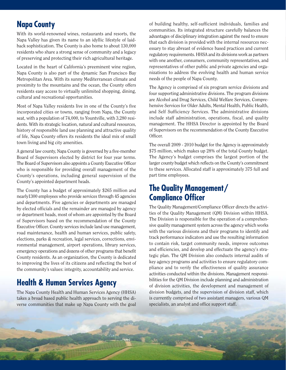## **Napa County**

With its world-renowned wines, restaurants and resorts, the Napa Valley has given its name to an idyllic lifestyle of laidback sophistication. The County is also home to about 130,000 residents who share a strong sense of community and a legacy of preserving and protecting their rich agricultural heritage.

Located in the heart of California's preeminent wine region, Napa County is also part of the dynamic San Francisco Bay Metropolitan Area. With its sunny Mediterranean climate and proximity to the mountains and the ocean, the County offers residents easy access to virtually unlimited shopping, dining, cultural and recreational opportunities.

Most of Napa Valley residents live in one of the County's five incorporated cities or towns, ranging from Napa, the County seat, with a population of 74,000, to Yountville, with 3,280 residents. With its strategic location, natural and cultural resources, history of responsible land use planning and attractive quality of life, Napa County offers its residents the ideal mix of small town living and big city amenities.

A general law county, Napa County is governed by a five-member Board of Supervisors elected by district for four year terms. The Board of Supervisors also appoints a County Executive Officer who is responsible for providing overall management of the County's operations, including general supervision of the County's appointed department heads.

The County has a budget of approximately \$265 million and nearly1300 employees who provide services through 45 agencies and departments. Five agencies or departments are managed by elected officials and the remainder are managed by agency or department heads, most of whom are appointed by the Board of Supervisors based on the recommendation of the County Executive Officer. County services include land use management, road maintenance, health and human services, public safety, elections, parks & recreation, legal services, corrections, environmental management, airport operations, library services, emergency operations and dozens of other programs that benefit County residents. As an organization, the County is dedicated to improving the lives of its citizens and reflecting the best of the community's values: integrity, accountability and service.

## **Health & Human Services Agency**

The Napa County Health and Human Services Agency (HHSA) takes a broad based public health approach to serving the diverse communities that make up Napa County with the goal of building healthy, self-sufficient individuals, families and communities. Its integrated structure carefully balances the advantages of disciplinary integration against the need to ensure that each division is provided with the internal resources necessary to stay abreast of evidence based practices and current regulatory requirements. HHSA and its divisions work as partners with one another, consumers, community representatives, and representatives of other public and private agencies and organizations to address the evolving health and human service needs of the people of Napa County.

The Agency is comprised of six program service divisions and four supporting administrative divisions. The program divisions are Alcohol and Drug Services, Child Welfare Services, Comprehensive Services for Older Adults, Mental Health, Public Health, and Self Sufficiency Services. The administrative divisions include staff administration, operations, fiscal, and quality management. The HHSA Director is appointed by the Board of Supervisors on the recommendation of the County Executive Officer.

The overall 2009 - 2010 budget for the Agency is approximately \$75 million, which makes up 28% of the total County budget. The Agency's budget comprises the largest portion of the larger county budget which reflects on the County's commitment to these services. Allocated staff is approximately 375 full and part time employees.

## **The Quality Management/ Compliance Officer**

The Quality Management/Compliance Officer directs the activities of the Quality Management (QM) Division within HHSA. The Division is responsible for the operation of a comprehensive quality management system across the agency which works with the various divisions and their programs to identify and track performance indicators and use the resulting information to contain risk, target community needs, improve outcomes and efficiencies, and develop and effectuate the agency's strategic plan. The QM Division also conducts internal audits of key agency programs and activities to ensure regulatory compliance and to verify the effectiveness of quality assurance activities conducted within the divisions. Management responsibilities for the QM Division include planning and administration of division activities, the development and management of division budgets, and the supervision of division staff, which is currently comprised of two assistant managers, various QM specialists, an analyst and office support staff.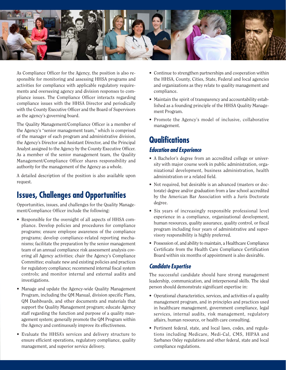

As Compliance Officer for the Agency, the position is also responsible for monitoring and assessing HHSA programs and activities for compliance with applicable regulatory requirements and overseeing agency and division responses to compliance issues. The Compliance Officer interacts regarding compliance issues with the HHSA Director and periodically with the County Executive Officer and the Board of Supervisors as the agency's governing board.

The Quality Management/Compliance Officer is a member of the Agency's "senior management team," which is comprised of the manager of each program and administrative division, the Agency's Director and Assistant Director, and the Principal Analyst assigned to the Agency by the County Executive Officer. As a member of the senior management team, the Quality Management/Compliance Officer shares responsibility and authority for the management of the Agency as a whole.

A detailed description of the position is also available upon request.

## **Issues, Challenges and Opportunities**

Opportunities, issues, and challenges for the Quality Management/Compliance Officer include the following:

- Responsible for the oversight of all aspects of HHSA compliance. Develop policies and procedures for compliance programs; ensure employee awareness of the compliance programs; develop compliance-related reporting mechanisms; facilitate the preparation by the senior management team of an annual compliance risk assessment analysis covering all Agency activities; chair the Agency's Compliance Committee; evaluate new and existing policies and practices for regulatory compliance; recommend internal fiscal system controls; and monitor internal and external audits and investigations.
- Manage and update the Agency-wide Quality Management Program, including the QM Manual, division specific Plans, QM Dashboards, and other documents and materials that support the Quality Management program; educate Agency staff regarding the function and purpose of a quality management system; generally promote the QM Program within the Agency and continuously improve its effectiveness.
- Evaluate the HHSA's services and delivery structure to ensure efficient operations, regulatory compliance, quality management, and superior service delivery.
- Continue to strengthen partnerships and cooperation within the HHSA, County, Cities, State, Federal and local agencies and organizations as they relate to quality management and compliance.
- Maintain the spirit of transparency and accountability established as a founding principle of the HHSA Quality Management Program.
- Promote the Agency's model of inclusive, collaborative management.

## **Qualifications Education and Experience**

- A Bachelor's degree from an accredited college or university with major course work in public administration, organizational development, business administration, health administration or a related field.
- Not required, but desirable is an advanced (masters or doctorate) degree and/or graduation from a law school accredited by the American Bar Association with a Juris Doctorate degree.
- Six years of increasingly responsible professional level experience in a compliance, organizational development, human resources, quality assurance, quality control, or fiscal program including four years of administrative and supervisory responsibility is highly preferred.
- Possession of, and ability to maintain, a Healthcare Compliance Certificate from the Health Care Compliance Certification Board within six months of appointment is also desirable.

### **Candidate Expertise**

The successful candidate should have strong management leadership, communication, and interpersonal skills. The ideal person should demonstrate significant expertise in:

- Operational characteristics, services, and activities of a quality management program, and in principles and practices used in healthcare management, government compliance, legal services, internal audits, risk management, regulatory affairs, human resource, or health care consulting.
- Pertinent federal, state, and local laws, codes, and regulations including Medicare, Medi-Cal, CMS, HIPAA and Sarbanes Oxley regulations and other federal, state and local compliance regulations.